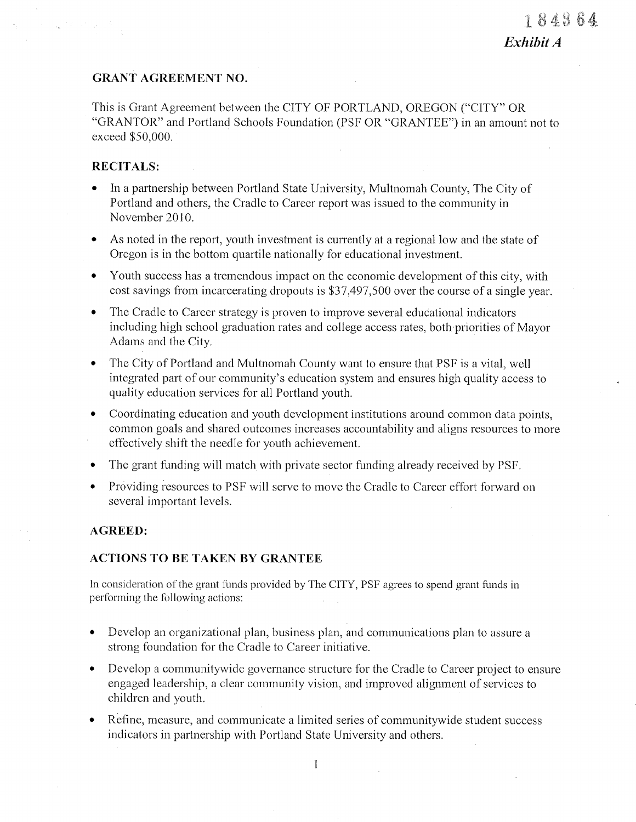# **GRANT AGREEMENT NO.**

This is Grant Agreement between the CITY OF PORTLAND, OREGON ("CITY" OR "GRANTOR" and Portland Schools Foundation (PSF OR "GRANTEE") in an amount not to exceed \$50,000.

# **RECITALS:**

- In a partnership between Portland State University, Multnomah County, The City of Portland and others, the Cradle to Career report was issued to the community in November 2010.
- As noted in the report, youth investment is currently at a regional low and the state of  $\bullet$ Oregon is in the bottom quartile nationally for educational investment.
- Youth success has a tremendous impact on the economic development of this city, with  $\bullet$ cost savings from incarcerating dropouts is \$37,497,500 over the course of a single year.
- The Cradle to Career strategy is proven to improve several educational indicators  $\bullet$ including high school graduation rates and college access rates, both priorities of Mayor Adams and the City.
- The City of Portland and Multnomah County want to ensure that PSF is a vital, well  $\bullet$ integrated part of our community's education system and ensures high quality access to quality education services for all Portland youth.
- Coordinating education and youth development institutions around common data points,  $\bullet$ common goals and shared outcomes increases accountability and aligns resources to more effectively shift the needle for youth achievement.
- The grant funding will match with private sector funding already received by PSF.  $\bullet$
- Providing resources to PSF will serve to move the Cradle to Career effort forward on  $\bullet$ several important levels.

# **AGREED:**

## **ACTIONS TO BE TAKEN BY GRANTEE**

In consideration of the grant funds provided by The CITY, PSF agrees to spend grant funds in performing the following actions:

- Develop an organizational plan, business plan, and communications plan to assure a  $\bullet$ strong foundation for the Cradle to Career initiative.
- Develop a community wide governance structure for the Cradle to Career project to ensure  $\bullet$ engaged leadership, a clear community vision, and improved alignment of services to children and youth.
- Refine, measure, and communicate a limited series of community wide student success  $\bullet$ indicators in partnership with Portland State University and others.

 $\mathbf{1}$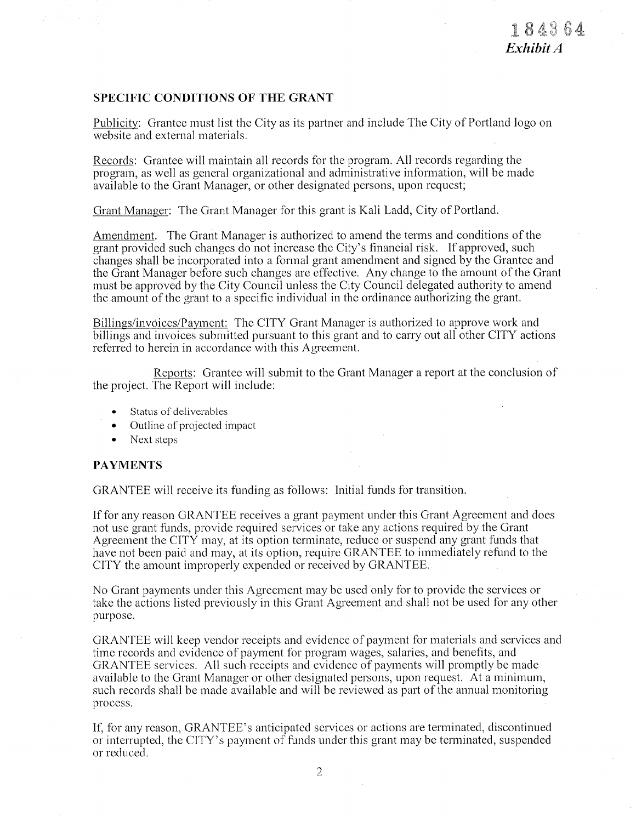### **SPECIFIC CONDITIONS OF THE GRANT**

Publicity: Grantee must list the City as its partner and include The City of Portland logo on website and external materials.

Records: Grantee will maintain all records for the program. All records regarding the program, as well as general organizational and administrative information, will be made available to the Grant Manager, or other designated persons, upon request;

Grant Manager: The Grant Manager for this grant is Kali Ladd, City of Portland.

Amendment. The Grant Manager is authorized to amend the terms and conditions of the grant provided such changes do not increase the City's financial risk. If approved, such changes shall be incorporated into a formal grant amendment and signed by the Grantee and the Grant Manager before such changes are effective. Any change to the amount of the Grant must be approved by the City Council unless the City Council delegated authority to amend the amount of the grant to a specific individual in the ordinance authorizing the grant.

Billings/invoices/Payment: The CITY Grant Manager is authorized to approve work and billings and invoices submitted pursuant to this grant and to carry out all other CITY actions referred to herein in accordance with this Agreement.

Reports: Grantee will submit to the Grant Manager a report at the conclusion of the project. The Report will include:

- Status of deliverables
- Outline of projected impact
- $\bullet$  Next steps

### **PAYMENTS**

GRANTEE will receive its funding as follows: Initial funds for transition.

If for any reason GRANTEE receives a grant payment under this Grant Agreement and does not use grant funds, provide required services or take any actions required by the Grant Agreement the CITY may, at its option terminate, reduce or suspend any grant funds that have not been paid and may, at its option, require GRANTEE to immediately refund to the CITY the amount improperly expended or received by GRANTEE.

No Grant payments under this Agreement may be used only for to provide the services or take the actions listed previously in this Grant Agreement and shall not be used for any other purpose.

GRANTEE will keep vendor receipts and evidence of payment for materials and services and time records and evidence of payment for program wages, salaries, and benefits, and GRANTEE services. All such receipts and evidence of payments will promptly be made available to the Grant Manager or other designated persons, upon request. At a minimum, such records shall be made available and will be reviewed as part of the annual monitoring process.

If, for any reason, GRANTEE's anticipated services or actions are terminated, discontinued or interrupted, the CITY's payment of funds under this grant may be terminated, suspended or reduced.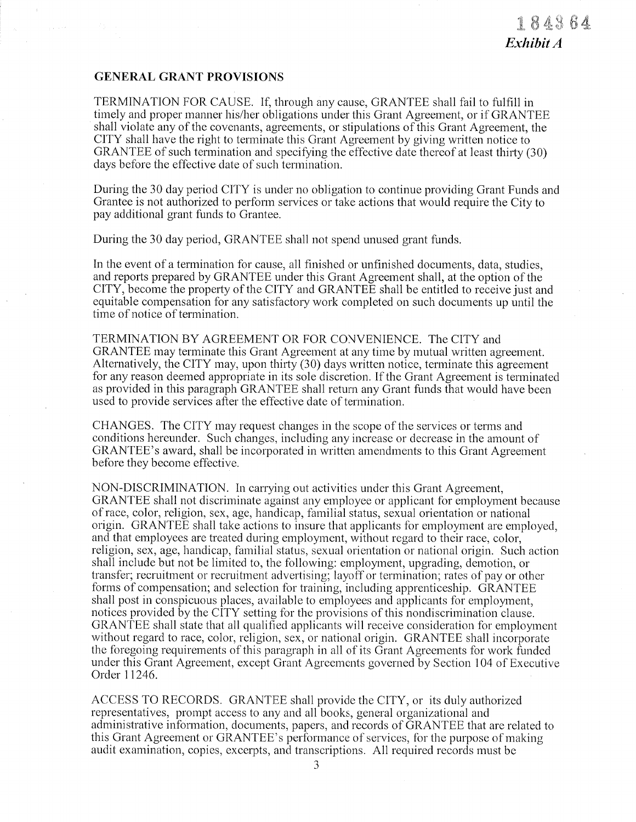# GENERAL GRANT PROVISIONS

TERMINATION FOR CAUSE. If, through any cause, GRANTEE shall fail to fulfill in timely and proper manner his/her obligations under this Grant Agreement, or if GRANTEE shall violate any of the covenants, agreements, or stipulations of this Grant Agreement, the CITY shall have the right to tenninate this Grant Agreement by giving written notice to GRANTEE of such termination and specifying the effective date thereof at least thirty (30) days before the effective date of such termination.

During the 30 day period CITY is under no obligation to continue providing Grant Funds and Grantee is not authorized to perform services or take actions that would require the City to pay additional grant funds to Grantee.

During the 30 day period, GRANTEE shall not spend unused grant funds.

In the event of a termination for cause, all finished or unfinished documents, data, studies, and reports prepared by GRANTEE under this Grant Agreement shall, at the option of the CITY, become the property of the CITY and GRANTEE shall be entitled to receive just and equitable compensation for any satisfactory work completed on such documents up until the time of notice of termination.

TERMINATION BY AGREEMENT OR FOR CONVENIENCE. The CITY and GRANTEE may terminate this Grant Agreement at any time by mutual written agreement. Alternatively, the CITY may, upon thirty  $(30)$  days written notice, terminate this agreement for any reason deemed appropriate in its sole discretion. If the Grant Agreement is terminated as provided in this paragraph GRANTEE shall return any Grant funds that would have been used to provide services after the effective date of termination.

CHANGES. The CITY may request changes in the scope of the services or tenns and conditions hereunder. Such changes, including any increase or decrease in the amount of GRANTEE's award, shall be incorporated in written amendments to this Grant Agreement before they becorne effective.

NON-DISCRIMINATION. In carrying out activities under this Grant Agreement, GRANTEE shall not discriminate against any employee or applicant for employment because of race, color, religion, sex, age, handicap, familial status, sexual orientation or national origin. GRANTEE shall take actions to insure that applicants for employment are employed, and that employees are treated during employment, without regard to their race, color, religion, sex, age, handicap, familial status, sexual orientation or national origin. Such action shall include but not be limited to, the following: employment, upgrading, demotion, or transfer; recruitment or recruitment advertising; layoff or termination; rates of pay or other forms of compensation; and selection for training, including apprenticeship. GRANTEE shall post in conspicuous places, available to employees and applicants for employment, notices provided by the CITY setting for the provisions of this nondiscrimination clause. GRANTEE shall state that all qualified applicants will receive consideration for employment without regard to race, color, religion, sex, or national origin. GRANTEE shall incorporate the foregoing requirements of this paragraph in all of its Grant Agreements for work funded under this Grant Agreement, except Grant Agreements governed by Section 104 of Executive Order 11246.

ACCESS TO RECORDS. GRANTEE shall provide the CITY, or its duly authorized representatives, prompt access to any and all books, general organizational and administrative information, documents, papers, and records of  $\bar{G}RANTEE$  that are related to this Grant Agreement or GRANTEE's performance of services, for the purpose of making audit examination, copies, excerpts, and transcriptions. All required records must be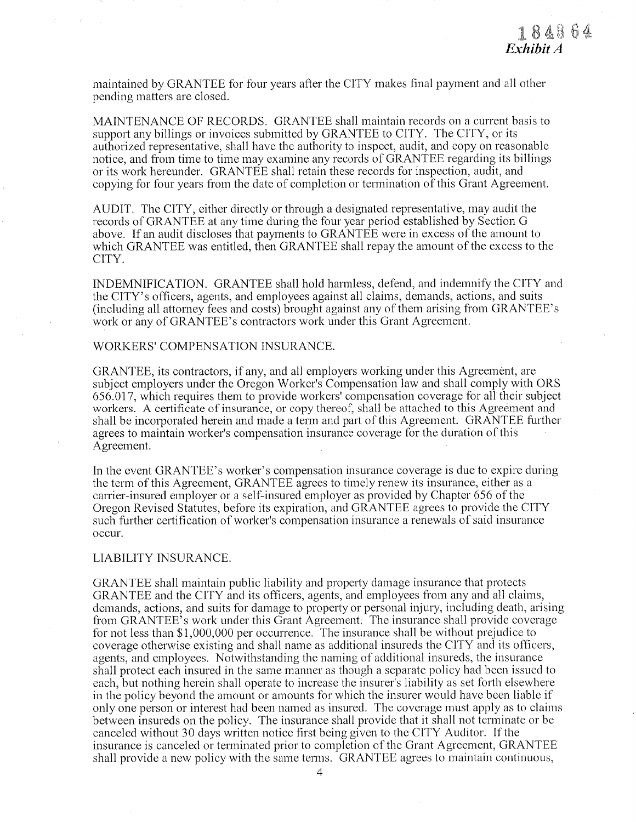maintained by GRANTEE for four years after the CITY makes final payment and all other pending matters are closed.

MAINTENANCE OF RECORDS. GRANTEE shall maintain records on a current basis to support any billings or invoices submitted by GRANTEE to CITY. The CITY, or its authorized representative, shall have the authority to inspect, audit, and copy on reasonable notice, and from time to time may examine any records of GRANTEE regarding its billings or its work hereunder. GRANTEE shall retain these records for inspection, audit, and copying for four years from the date of completion or termination of this Grant Agreement.

AUDIT. The CITY, either directly or through a designated representative, may audit the records of GRANTEE at any time during the four year period established by Section G above. If an audit discloses that payments to GRANTEE were in excess of the amount to which GRANTEE was entitled, then GRANTEE shall repay the amount of the excess to the CITY.

INDEMNIFICATION. GRANTEE shall hold harmless, defend, and indemnify the CITY and the CITY's officers, agents, and employees against all claims, demands, actions, and suits (including all attorney fees and costs) brought against any of them arising from GRANTEE's work or any of GRANTEE's contractors work under this Grant Agreement.

#### WORKERS' COMPENSATION INSURANCE.

GRANTEE, its contractors, if any, and all employers working under this Agreement, are subject employers under the Oregon Worker's Compensation law and shall comply with ORS 656.017, which requires them to provide workers' compensation coverage for all their subject workers. A certificate of insurance, or copy thereof, shall be attached to this Agreement and shall be incorporated herein and made a term and part of this Agreement. GRANTEE further agrees to maintain worker's compensation insurance coverage for the duration of this Agreement.

In the event GRANTEE's worker's compensation insurance coverage is due to expire during the term of this Agreement, GRANTEE agrees to timely renew its insurance, either as a carrier-insured employer or a self-insured employer as provided by Chapter 656 of the Oregon Revised Statutes, before its expiration, and GRANTEE agrees to provide the CITY such further certification of worker's compensation insurance a renewals of said insurance occur.

#### LIABILITY INSURANCE.

GRANTEE shall maintain public liability and property damage insurance that protects GRANTEE and the CITY and its officers, agents, and employees from any and all claims, demands, actions, and suits for damage to property or personal injury, including death, arising from GRANTEE's work under this Grant Agreement. The insurance shall provide coverage for not less than \$1,000,000 per occurrence. The insurance shall be without prejudice to coverage otherwise existing and shall name as additional insureds the CITY and its officers, agents, and employees. Notwithstanding the naming of additional insureds, the insurance shall protect each insured in the same manner as though a separate policy had been issued to each, but nothing herein shall operate to increase the insurer's liability as set forth elsewhere in the policy beyond the amount or amounts for which the insurer would have been liable if only one person or interest had been named as insured. The coverage must apply as to claims between insureds on the policy. The insurance shall provide that it shall not terminate or be canceled without 30 days written notice first being given to the CITY Auditor. If the insurance is canceled or terminated prior to completion of the Grant Agreement, GRANTEE shall provide a new policy with the same terms. GRANTEE agrees to maintain continuous,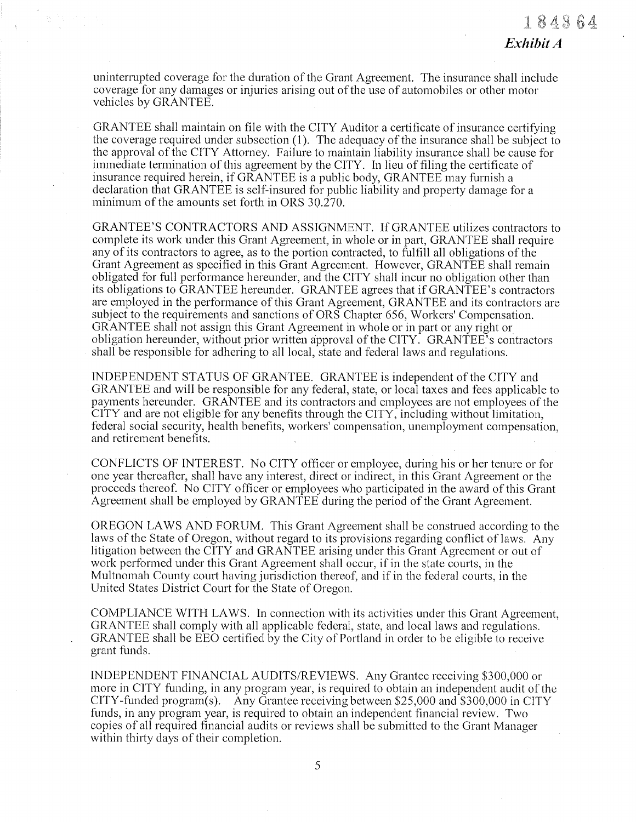uninterrupted coverage for the duration of the Grant Agreement. The insurance shall include coverage for any damages or injuries arising out of the use of automobiles or other motor vehicles by GRANTEE.

GRANTEE shall maintain on file with the CITY Auditor a certificate of insurance certifying the coverage required under subsection (1). The adequacy of the insurance shall be subject to the approval of the CITY Attorney. Failure to maintain liability insurance shall be cause for immediate termination of this agreement by the CITY. In lieu of filing the certificate of insurance required herein, if GRANTEE is a public body, GRANTEE may furnish a declaration that GRANTEE is self-insured for public liability and property damage for a minimum of the amounts set forth in ORS  $30.\overline{270}$ .

GRANTEE'S CONTRACTORS AND ASSIGNMENT. If GRANTEE utilizes contractors to complete its work under this Grant Agreement, in whole or in part, GRANTEE shall require any of its contractors to agree, as to the portion contracted, to fulfill all obligations of the Grant Agreement as specified in this Grant Agreement. However, GRANTEE shall remain obligated for full performance hereunder, and the CITY shall incur no obligation other than its obligations to GRANTEE hereunder. GRANTEE agrees that if GRANTEE's contractors are employed in the performance of this Grant Agreement, GRANTEE and its contractors are subject to the requirements and sanctions of ORS Chapter 656, Workers' Compensation. GRANTEE shall not assign this Grant Agreement in whole or in part or any right or obligation hereunder, without prior written approval of the CITY. GRANTEE's contractors shall be responsible for adhering to all local, state and federal laws and regulations.

INDEPENDENT STATUS OF GRANTEE. GRANTEE is independent of the CITY and GRANTEE and will be responsible for any federal, state, or local taxes and fees applicable to payments hereunder. GRANTEE and its contractors and employees are not employees of the CITY and are not eligible for any benefits through the CITY, including without limitation, federal social security, health benefits, workers' compensation, unemployment compensation, and retirement benefits.

CONFLICTS OF INTEREST. No CITY officer or employee, during his or her tenure or for one year thereafter, shall have any interest, direct or indirect, in this Grant Agreement or the proceeds thereof. No CITY officer or employees who participated in the award of this Grant Agreement shall be employed by GRANTEE during the period of the Grant Agreement.

OREGON LAWS AND FORUM. This Grant Agreement shall be construed according to the laws of the State of Oregon, without regard to its provisions regarding conflict of laws. Any litigation between the CITY and GRANTEE arising under this Grant Agreement or out of work performed under this Grant Agreement shall occur, if in the state courts, in the Multnomah County court having jurisdiction thereof, and if in the federal courts, in the United States District Court for the State of Oregon.

COMPLIANCE WITH LAWS. In connection with its activities under this Grant Agreement, GRANTEE shall comply with all applicable federal, state, and local laws and regulations. GRANTEE shall be EEO certified by the City of Portland in order to be eligible to receive grant funds.

INDEPENDENT FINANCIAL AUDITS/REVIEWS. Any Grantee receiving \$300,000 or more in CITY funding, in any program year, is required to obtain an independent audit of the CITY-funded program(s). Any Grantee receiving between \$25,000 and \$300,000 in CITY funds, in any program year, is required to obtain an independent financial review. Two copies of all required financial audits or reviews shall be submitted to the Grant Manager within thirty days of their completion.